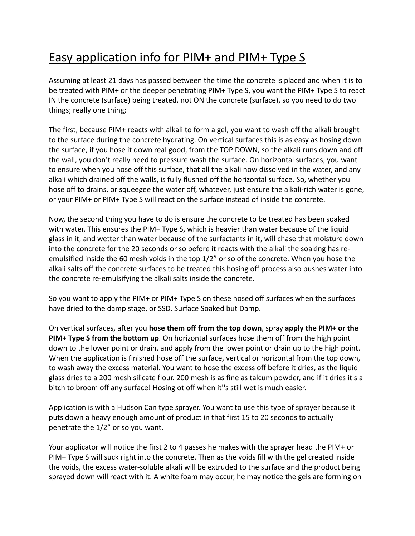## Easy application info for PIM+ and PIM+ Type S

Assuming at least 21 days has passed between the time the concrete is placed and when it is to be treated with PIM+ or the deeper penetrating PIM+ Type S, you want the PIM+ Type S to react IN the concrete (surface) being treated, not ON the concrete (surface), so you need to do two things; really one thing;

The first, because PIM+ reacts with alkali to form a gel, you want to wash off the alkali brought to the surface during the concrete hydrating. On vertical surfaces this is as easy as hosing down the surface, if you hose it down real good, from the TOP DOWN, so the alkali runs down and off the wall, you don't really need to pressure wash the surface. On horizontal surfaces, you want to ensure when you hose off this surface, that all the alkali now dissolved in the water, and any alkali which drained off the walls, is fully flushed off the horizontal surface. So, whether you hose off to drains, or squeegee the water off, whatever, just ensure the alkali-rich water is gone, or your PIM+ or PIM+ Type S will react on the surface instead of inside the concrete.

Now, the second thing you have to do is ensure the concrete to be treated has been soaked with water. This ensures the PIM+ Type S, which is heavier than water because of the liquid glass in it, and wetter than water because of the surfactants in it, will chase that moisture down into the concrete for the 20 seconds or so before it reacts with the alkali the soaking has reemulsified inside the 60 mesh voids in the top 1/2" or so of the concrete. When you hose the alkali salts off the concrete surfaces to be treated this hosing off process also pushes water into the concrete re-emulsifying the alkali salts inside the concrete.

So you want to apply the PIM+ or PIM+ Type S on these hosed off surfaces when the surfaces have dried to the damp stage, or SSD. Surface Soaked but Damp.

On vertical surfaces, after you **hose them off from the top down**, spray **apply the PIM+ or the PIM+ Type S from the bottom up**. On horizontal surfaces hose them off from the high point down to the lower point or drain, and apply from the lower point or drain up to the high point. When the application is finished hose off the surface, vertical or horizontal from the top down, to wash away the excess material. You want to hose the excess off before it dries, as the liquid glass dries to a 200 mesh silicate flour. 200 mesh is as fine as talcum powder, and if it dries it's a bitch to broom off any surface! Hosing ot off when it''s still wet is much easier.

Application is with a Hudson Can type sprayer. You want to use this type of sprayer because it puts down a heavy enough amount of product in that first 15 to 20 seconds to actually penetrate the 1/2" or so you want.

Your applicator will notice the first 2 to 4 passes he makes with the sprayer head the PIM+ or PIM+ Type S will suck right into the concrete. Then as the voids fill with the gel created inside the voids, the excess water-soluble alkali will be extruded to the surface and the product being sprayed down will react with it. A white foam may occur, he may notice the gels are forming on